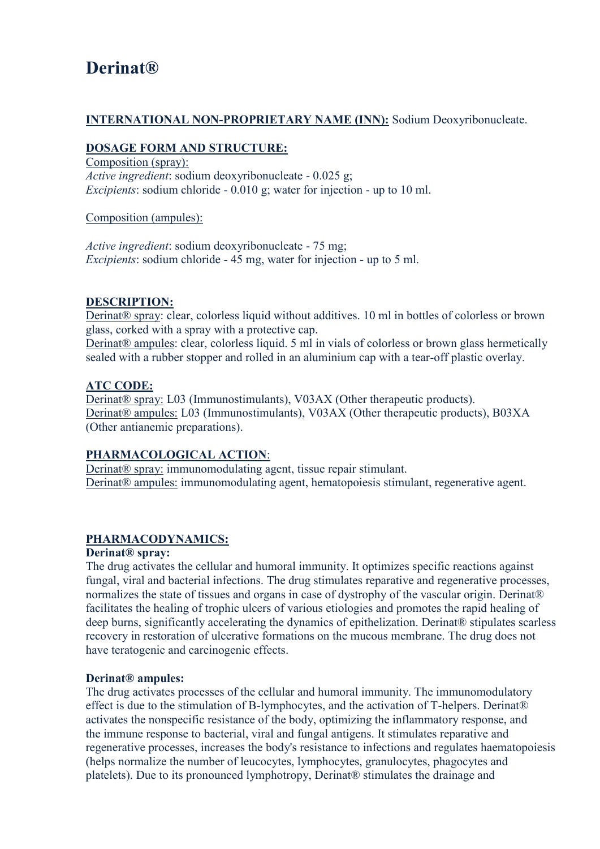# **Derinat®**

## **INTERNATIONAL NON-PROPRIETARY NAME (INN):** Sodium Deoxyribonucleate.

### **DOSAGE FORM AND STRUCTURE:**

Composition (spray): *Active ingredient*: sodium deoxyribonucleate - 0.025 g; *Excipients*: sodium chloride - 0.010 g; water for injection - up to 10 ml.

## Composition (ampules):

*Active ingredient*: sodium deoxyribonucleate - 75 mg; *Excipients*: sodium chloride - 45 mg, water for injection - up to 5 ml.

## **DESCRIPTION:**

Derinat® spray: clear, colorless liquid without additives. 10 ml in bottles of colorless or brown glass, corked with a spray with a protective cap.

Derinat<sup>®</sup> ampules: clear, colorless liquid. 5 ml in vials of colorless or brown glass hermetically sealed with a rubber stopper and rolled in an aluminium cap with a tear-off plastic overlay.

## **ATC CODE:**

Derinat® spray: L03 (Immunostimulants), V03AX (Other therapeutic products). Derinat® ampules: L03 (Immunostimulants), V03AX (Other therapeutic products), B03XA (Other antianemic preparations).

#### **PHARMACOLOGICAL ACTION**:

Derinat® spray: immunomodulating agent, tissue repair stimulant. Derinat® ampules: immunomodulating agent, hematopoiesis stimulant, regenerative agent.

## **PHARMACODYNAMICS:**

#### **Derinat® spray:**

The drug activates the cellular and humoral immunity. It optimizes specific reactions against fungal, viral and bacterial infections. The drug stimulates reparative and regenerative processes, normalizes the state of tissues and organs in case of dystrophy of the vascular origin. Derinat<sup>®</sup> facilitates the healing of trophic ulcers of various etiologies and promotes the rapid healing of deep burns, significantly accelerating the dynamics of epithelization. Derinat® stipulates scarless recovery in restoration of ulcerative formations on the mucous membrane. The drug does not have teratogenic and carcinogenic effects.

#### **Derinat® ampules:**

The drug activates processes of the cellular and humoral immunity. The immunomodulatory effect is due to the stimulation of B-lymphocytes, and the activation of T-helpers. Derinat® activates the nonspecific resistance of the body, optimizing the inflammatory response, and the immune response to bacterial, viral and fungal antigens. It stimulates reparative and regenerative processes, increases the body's resistance to infections and regulates haematopoiesis (helps normalize the number of leucocytes, lymphocytes, granulocytes, phagocytes and platelets). Due to its pronounced lymphotropy, Derinat® stimulates the drainage and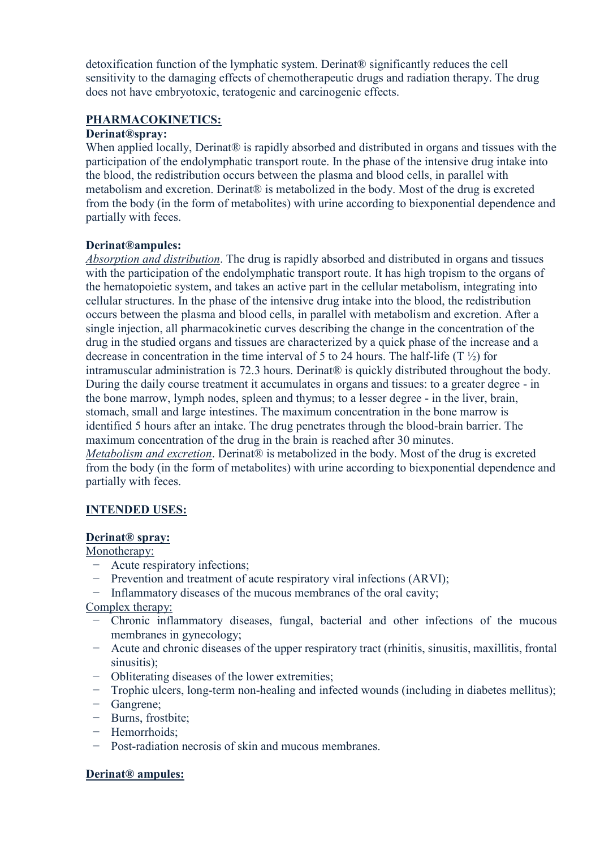detoxification function of the lymphatic system. Derinat® significantly reduces the cell sensitivity to the damaging effects of chemotherapeutic drugs and radiation therapy. The drug does not have embryotoxic, teratogenic and carcinogenic effects.

## **PHARMACOKINETICS:**

#### **Derinat®spray:**

When applied locally, Derinat<sup>®</sup> is rapidly absorbed and distributed in organs and tissues with the participation of the endolymphatic transport route. In the phase of the intensive drug intake into the blood, the redistribution occurs between the plasma and blood cells, in parallel with metabolism and excretion. Derinat® is metabolized in the body. Most of the drug is excreted from the body (in the form of metabolites) with urine according to biexponential dependence and partially with feces.

#### **Derinat®ampules:**

*Absorption and distribution*. The drug is rapidly absorbed and distributed in organs and tissues with the participation of the endolymphatic transport route. It has high tropism to the organs of the hematopoietic system, and takes an active part in the cellular metabolism, integrating into cellular structures. In the phase of the intensive drug intake into the blood, the redistribution occurs between the plasma and blood cells, in parallel with metabolism and excretion. After a single injection, all pharmacokinetic curves describing the change in the concentration of the drug in the studied organs and tissues are characterized by a quick phase of the increase and a decrease in concentration in the time interval of 5 to 24 hours. The half-life  $(T \frac{1}{2})$  for intramuscular administration is 72.3 hours. Derinat® is quickly distributed throughout the body. During the daily course treatment it accumulates in organs and tissues: to a greater degree - in the bone marrow, lymph nodes, spleen and thymus; to a lesser degree - in the liver, brain, stomach, small and large intestines. The maximum concentration in the bone marrow is identified 5 hours after an intake. The drug penetrates through the blood-brain barrier. The maximum concentration of the drug in the brain is reached after 30 minutes. *Metabolism and excretion.* Derinat<sup>®</sup> is metabolized in the body. Most of the drug is excreted from the body (in the form of metabolites) with urine according to biexponential dependence and partially with feces.

#### **INTENDED USES:**

#### **Derinat® spray:**

Monotherapy:

- − Acute respiratory infections;
- − Prevention and treatment of acute respiratory viral infections (ARVI);
- − Inflammatory diseases of the mucous membranes of the oral cavity;

Complex therapy:

- − Chronic inflammatory diseases, fungal, bacterial and other infections of the mucous membranes in gynecology;
- − Acute and chronic diseases of the upper respiratory tract (rhinitis, sinusitis, maxillitis, frontal sinusitis);
- − Obliterating diseases of the lower extremities;
- − Trophic ulcers, long-term non-healing and infected wounds (including in diabetes mellitus);
- − Gangrene;
- − Burns, frostbite;
- − Hemorrhoids;
- − Post-radiation necrosis of skin and mucous membranes.

#### **Derinat® ampules:**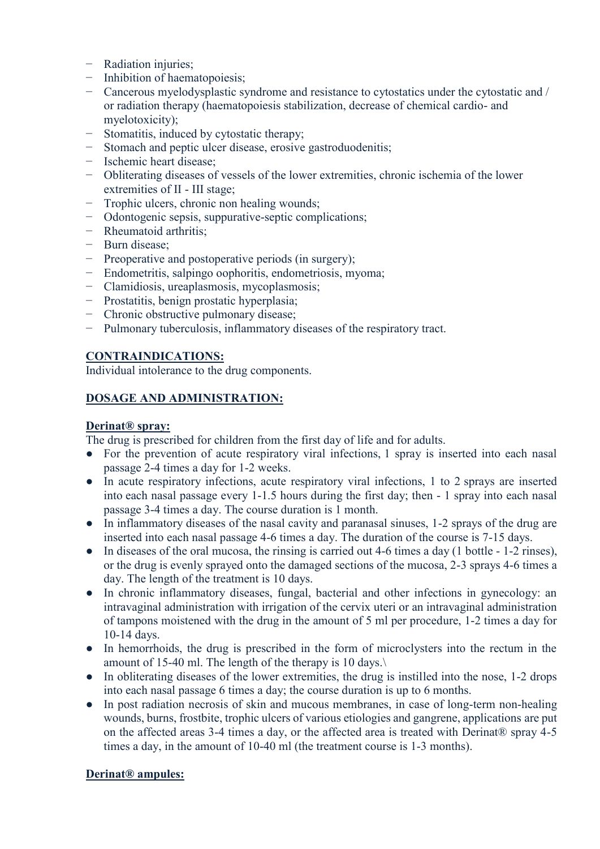- − Radiation injuries;
- − Inhibition of haematopoiesis;
- − Cancerous myelodysplastic syndrome and resistance to cytostatics under the cytostatic and / or radiation therapy (haematopoiesis stabilization, decrease of chemical cardio- and myelotoxicity);
- Stomatitis, induced by cytostatic therapy;
- Stomach and peptic ulcer disease, erosive gastroduodenitis;
- − Ischemic heart disease;
- − Obliterating diseases of vessels of the lower extremities, chronic ischemia of the lower extremities of II - III stage;
- − Trophic ulcers, chronic non healing wounds;
- − Odontogenic sepsis, suppurative-septic complications;
- − Rheumatoid arthritis;
- − Burn disease;
- − Preoperative and postoperative periods (in surgery);
- − Endometritis, salpingo oophoritis, endometriosis, myoma;
- − Clamidiosis, ureaplasmosis, mycoplasmosis;
- Prostatitis, benign prostatic hyperplasia;
- − Chronic obstructive pulmonary disease;
- − Pulmonary tuberculosis, inflammatory diseases of the respiratory tract.

## **CONTRAINDICATIONS:**

Individual intolerance to the drug components.

## **DOSAGE AND ADMINISTRATION:**

### **Derinat® spray:**

The drug is prescribed for children from the first day of life and for adults.

- For the prevention of acute respiratory viral infections, 1 spray is inserted into each nasal passage 2-4 times a day for 1-2 weeks.
- In acute respiratory infections, acute respiratory viral infections, 1 to 2 sprays are inserted into each nasal passage every 1-1.5 hours during the first day; then - 1 spray into each nasal passage 3-4 times a day. The course duration is 1 month.
- In inflammatory diseases of the nasal cavity and paranasal sinuses, 1-2 sprays of the drug are inserted into each nasal passage 4-6 times a day. The duration of the course is 7-15 days.
- In diseases of the oral mucosa, the rinsing is carried out 4-6 times a day (1 bottle 1-2 rinses), or the drug is evenly sprayed onto the damaged sections of the mucosa, 2-3 sprays 4-6 times a day. The length of the treatment is 10 days.
- In chronic inflammatory diseases, fungal, bacterial and other infections in gynecology: an intravaginal administration with irrigation of the cervix uteri or an intravaginal administration of tampons moistened with the drug in the amount of 5 ml per procedure, 1-2 times a day for 10-14 days.
- In hemorrhoids, the drug is prescribed in the form of microclysters into the rectum in the amount of 15-40 ml. The length of the therapy is 10 days.\
- In obliterating diseases of the lower extremities, the drug is instilled into the nose, 1-2 drops into each nasal passage 6 times a day; the course duration is up to 6 months.
- In post radiation necrosis of skin and mucous membranes, in case of long-term non-healing wounds, burns, frostbite, trophic ulcers of various etiologies and gangrene, applications are put on the affected areas 3-4 times a day, or the affected area is treated with Derinat® spray 4-5 times a day, in the amount of 10-40 ml (the treatment course is 1-3 months).

## **Derinat® ampules:**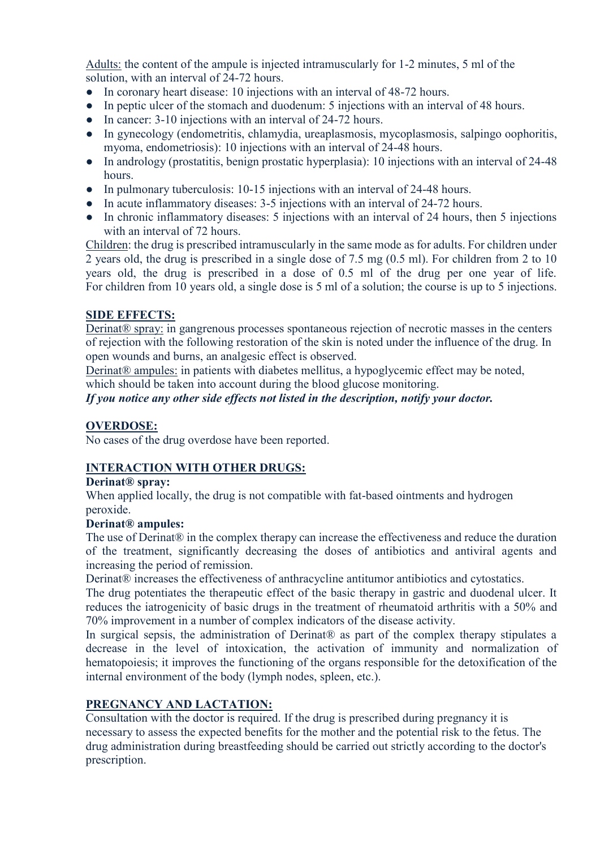Adults: the content of the ampule is injected intramuscularly for 1-2 minutes, 5 ml of the solution, with an interval of 24-72 hours.

- In coronary heart disease: 10 injections with an interval of 48-72 hours.
- In peptic ulcer of the stomach and duodenum: 5 injections with an interval of 48 hours.
- In cancer: 3-10 injections with an interval of 24-72 hours.
- In gynecology (endometritis, chlamydia, ureaplasmosis, mycoplasmosis, salpingo oophoritis, myoma, endometriosis): 10 injections with an interval of 24-48 hours.
- In andrology (prostatitis, benign prostatic hyperplasia): 10 injections with an interval of 24-48 hours.
- In pulmonary tuberculosis: 10-15 injections with an interval of 24-48 hours.
- In acute inflammatory diseases: 3-5 injections with an interval of 24-72 hours.
- In chronic inflammatory diseases: 5 injections with an interval of 24 hours, then 5 injections with an interval of 72 hours.

Children: the drug is prescribed intramuscularly in the same mode as for adults. For children under 2 years old, the drug is prescribed in a single dose of 7.5 mg (0.5 ml). For children from 2 to 10 years old, the drug is prescribed in a dose of 0.5 ml of the drug per one year of life. For children from 10 years old, a single dose is 5 ml of a solution; the course is up to 5 injections.

## **SIDE EFFECTS:**

Derinat® spray: in gangrenous processes spontaneous rejection of necrotic masses in the centers of rejection with the following restoration of the skin is noted under the influence of the drug. In open wounds and burns, an analgesic effect is observed.

Derinat® ampules: in patients with diabetes mellitus, a hypoglycemic effect may be noted, which should be taken into account during the blood glucose monitoring.

*If you notice any other side effects not listed in the description, notify your doctor.*

## **OVERDOSE:**

No cases of the drug overdose have been reported.

## **INTERACTION WITH OTHER DRUGS:**

#### **Derinat® spray:**

When applied locally, the drug is not compatible with fat-based ointments and hydrogen peroxide.

#### **Derinat® ampules:**

The use of Derinat<sup>®</sup> in the complex therapy can increase the effectiveness and reduce the duration of the treatment, significantly decreasing the doses of antibiotics and antiviral agents and increasing the period of remission.

Derinat® increases the effectiveness of anthracycline antitumor antibiotics and cytostatics.

The drug potentiates the therapeutic effect of the basic therapy in gastric and duodenal ulcer. It reduces the iatrogenicity of basic drugs in the treatment of rheumatoid arthritis with a 50% and 70% improvement in a number of complex indicators of the disease activity.

In surgical sepsis, the administration of Derinat® as part of the complex therapy stipulates a decrease in the level of intoxication, the activation of immunity and normalization of hematopoiesis; it improves the functioning of the organs responsible for the detoxification of the internal environment of the body (lymph nodes, spleen, etc.).

# **PREGNANCY AND LACTATION:**

Сonsultation with the doctor is required. If the drug is prescribed during pregnancy it is necessary to assess the expected benefits for the mother and the potential risk to the fetus. The drug administration during breastfeeding should be carried out strictly according to the doctor's prescription.